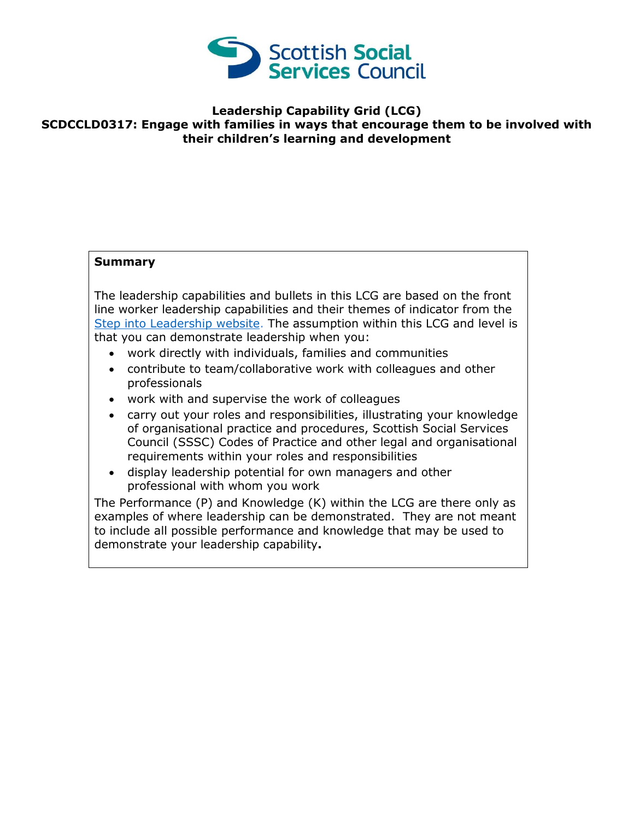

## **Leadership Capability Grid (LCG) SCDCCLD0317: Engage with families in ways that encourage them to be involved with their children's learning and development**

## **Summary**

The leadership capabilities and bullets in this LCG are based on the front line worker leadership capabilities and their themes of indicator from the [Step into Leadership website.](http://www.stepintoleadership.info/) The assumption within this LCG and level is that you can demonstrate leadership when you:

- work directly with individuals, families and communities
- contribute to team/collaborative work with colleagues and other professionals
- work with and supervise the work of colleagues
- carry out your roles and responsibilities, illustrating your knowledge of organisational practice and procedures, Scottish Social Services Council (SSSC) Codes of Practice and other legal and organisational requirements within your roles and responsibilities
- display leadership potential for own managers and other professional with whom you work

The Performance (P) and Knowledge (K) within the LCG are there only as examples of where leadership can be demonstrated. They are not meant to include all possible performance and knowledge that may be used to demonstrate your leadership capability**.**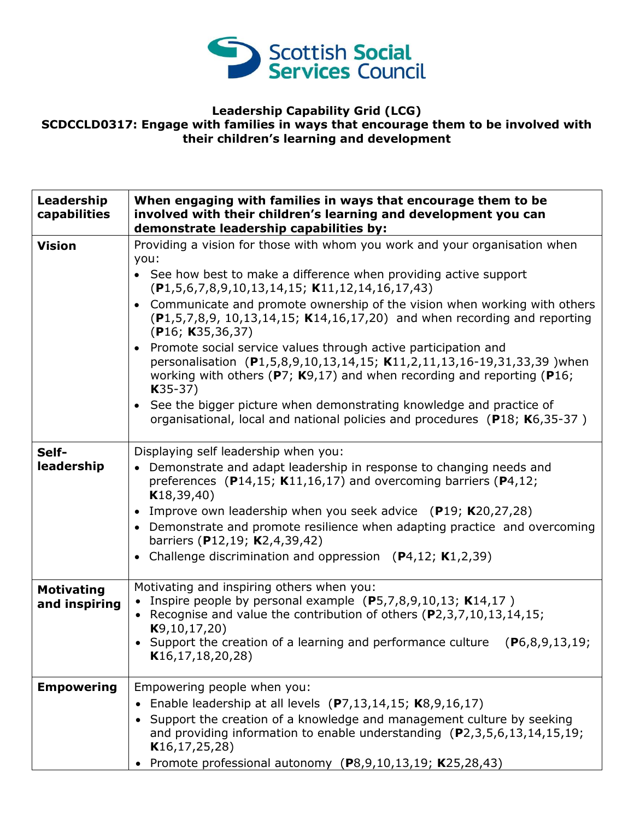

## **Leadership Capability Grid (LCG) SCDCCLD0317: Engage with families in ways that encourage them to be involved with their children's learning and development**

| Leadership<br>capabilities         | When engaging with families in ways that encourage them to be<br>involved with their children's learning and development you can<br>demonstrate leadership capabilities by:                                                                 |
|------------------------------------|---------------------------------------------------------------------------------------------------------------------------------------------------------------------------------------------------------------------------------------------|
| <b>Vision</b>                      | Providing a vision for those with whom you work and your organisation when                                                                                                                                                                  |
|                                    | you:<br>• See how best to make a difference when providing active support<br>$(P1, 5, 6, 7, 8, 9, 10, 13, 14, 15; K11, 12, 14, 16, 17, 43)$                                                                                                 |
|                                    | • Communicate and promote ownership of the vision when working with others<br>$(P1, 5, 7, 8, 9, 10, 13, 14, 15; K14, 16, 17, 20)$ and when recording and reporting<br>(P16; K35, 36, 37)                                                    |
|                                    | • Promote social service values through active participation and<br>personalisation (P1,5,8,9,10,13,14,15; K11,2,11,13,16-19,31,33,39 ) when<br>working with others ( $P7$ ; K9,17) and when recording and reporting ( $P16$ ;<br>$K35-37)$ |
|                                    | • See the bigger picture when demonstrating knowledge and practice of<br>organisational, local and national policies and procedures (P18; K6,35-37)                                                                                         |
| Self-                              | Displaying self leadership when you:                                                                                                                                                                                                        |
| leadership                         | Demonstrate and adapt leadership in response to changing needs and<br>$\bullet$<br>preferences (P14,15; K11,16,17) and overcoming barriers (P4,12;<br>K18, 39, 40)                                                                          |
|                                    | • Improve own leadership when you seek advice $(P19; K20, 27, 28)$                                                                                                                                                                          |
|                                    | • Demonstrate and promote resilience when adapting practice and overcoming<br>barriers (P12,19; K2,4,39,42)                                                                                                                                 |
|                                    | • Challenge discrimination and oppression $(P4, 12; K1, 2, 39)$                                                                                                                                                                             |
| <b>Motivating</b><br>and inspiring | Motivating and inspiring others when you:<br>Inspire people by personal example $(P5,7,8,9,10,13; K14,17)$<br>• Recognise and value the contribution of others $(P2,3,7,10,13,14,15;$<br>K9, 10, 17, 20)                                    |
|                                    | • Support the creation of a learning and performance culture $(P6,8,9,13,19;$<br>K16, 17, 18, 20, 28                                                                                                                                        |
| <b>Empowering</b>                  | Empowering people when you:                                                                                                                                                                                                                 |
|                                    | Enable leadership at all levels (P7,13,14,15; K8,9,16,17)                                                                                                                                                                                   |
|                                    | Support the creation of a knowledge and management culture by seeking<br>and providing information to enable understanding $(P2,3,5,6,13,14,15,19;$<br>K16, 17, 25, 28)                                                                     |
|                                    | Promote professional autonomy $(P8, 9, 10, 13, 19; K25, 28, 43)$                                                                                                                                                                            |